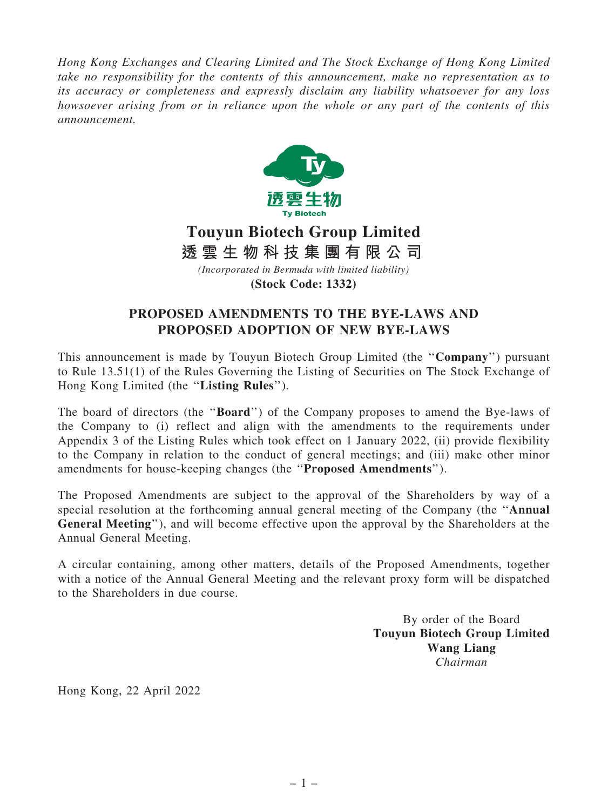*Hong Kong Exchanges and Clearing Limited and The Stock Exchange of Hong Kong Limited take no responsibility for the contents of this announcement, make no representation as to its accuracy or completeness and expressly disclaim any liability whatsoever for any loss howsoever arising from or in reliance upon the whole or any part of the contents of this announcement.*



## **Touyun Biotech Group Limited** *(Incorporated in Bermuda with limited liability)* **透 雲 生 物 科 技 集 團 有 限 公 司**

**(Stock Code: 1332)**

## PROPOSED AMENDMENTS TO THE BYE-LAWS AND PROPOSED ADOPTION OF NEW BYE-LAWS

This announcement is made by Touyun Biotech Group Limited (the ''Company'') pursuant to Rule 13.51(1) of the Rules Governing the Listing of Securities on The Stock Exchange of Hong Kong Limited (the ''Listing Rules'').

The board of directors (the "**Board**") of the Company proposes to amend the Bye-laws of the Company to (i) reflect and align with the amendments to the requirements under Appendix 3 of the Listing Rules which took effect on 1 January 2022, (ii) provide flexibility to the Company in relation to the conduct of general meetings; and (iii) make other minor amendments for house-keeping changes (the ''Proposed Amendments'').

The Proposed Amendments are subject to the approval of the Shareholders by way of a special resolution at the forthcoming annual general meeting of the Company (the ''Annual General Meeting''), and will become effective upon the approval by the Shareholders at the Annual General Meeting.

A circular containing, among other matters, details of the Proposed Amendments, together with a notice of the Annual General Meeting and the relevant proxy form will be dispatched to the Shareholders in due course.

> By order of the Board Touyun Biotech Group Limited Wang Liang *Chairman*

Hong Kong, 22 April 2022